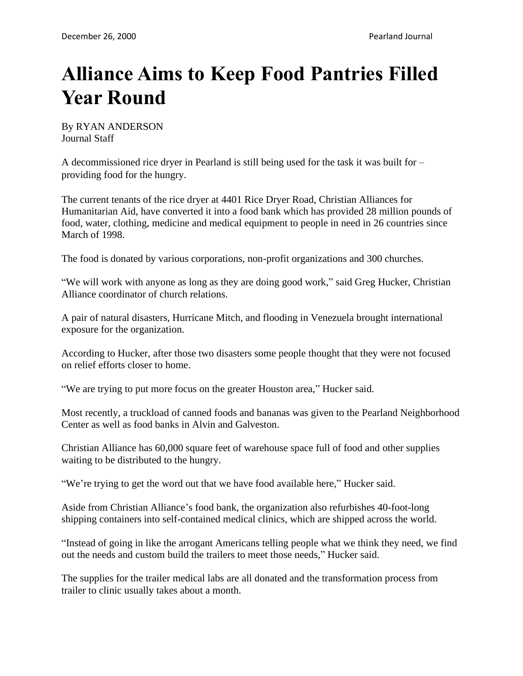## **Alliance Aims to Keep Food Pantries Filled Year Round**

By RYAN ANDERSON Journal Staff

A decommissioned rice dryer in Pearland is still being used for the task it was built for – providing food for the hungry.

The current tenants of the rice dryer at 4401 Rice Dryer Road, Christian Alliances for Humanitarian Aid, have converted it into a food bank which has provided 28 million pounds of food, water, clothing, medicine and medical equipment to people in need in 26 countries since March of 1998.

The food is donated by various corporations, non-profit organizations and 300 churches.

"We will work with anyone as long as they are doing good work," said Greg Hucker, Christian Alliance coordinator of church relations.

A pair of natural disasters, Hurricane Mitch, and flooding in Venezuela brought international exposure for the organization.

According to Hucker, after those two disasters some people thought that they were not focused on relief efforts closer to home.

"We are trying to put more focus on the greater Houston area," Hucker said.

Most recently, a truckload of canned foods and bananas was given to the Pearland Neighborhood Center as well as food banks in Alvin and Galveston.

Christian Alliance has 60,000 square feet of warehouse space full of food and other supplies waiting to be distributed to the hungry.

"We're trying to get the word out that we have food available here," Hucker said.

Aside from Christian Alliance's food bank, the organization also refurbishes 40-foot-long shipping containers into self-contained medical clinics, which are shipped across the world.

"Instead of going in like the arrogant Americans telling people what we think they need, we find out the needs and custom build the trailers to meet those needs," Hucker said.

The supplies for the trailer medical labs are all donated and the transformation process from trailer to clinic usually takes about a month.